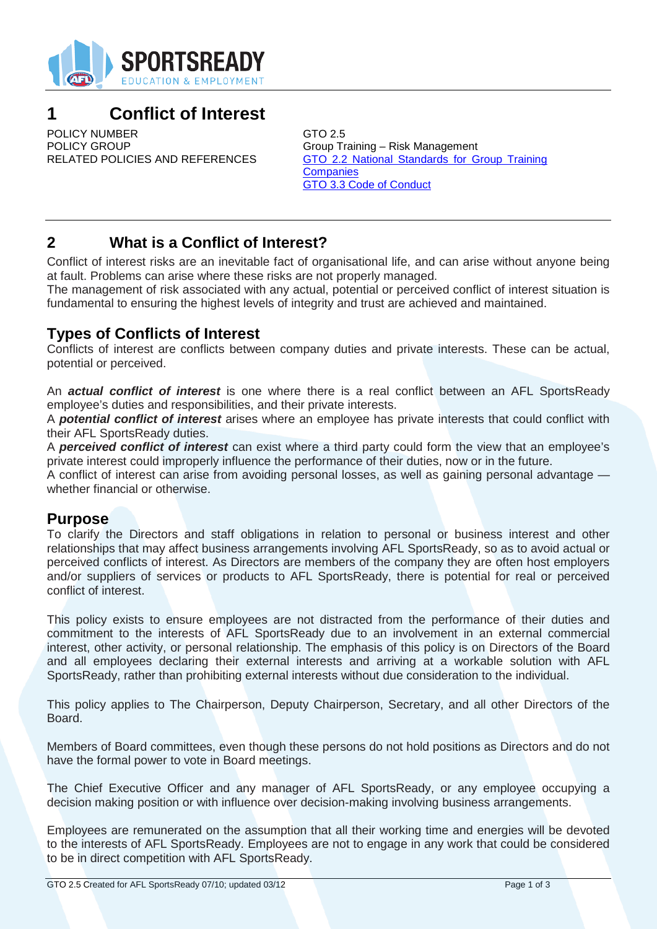

# **1 Conflict of Interest**

POLICY NUMBER<br>
POLICY GROUP
SALLY COUP
SALLY COUP
SALLY COUP
SALLY COUP
SALLY COUP
SALLY COUP
SALLY COUP
SALLY COUP
SALLY COUP
SALLY COUP
SALLY COUP
SALLY COUP
SALLY COUP
SALLY COUP POLICY GROUP<br>RELATED POLICIES AND REFERENCES GTO 2.2 National Standards for G

GTO 2.2 National Standards for Group Training **Companies** GTO 3.3 Code of Conduct

## **2 What is a Conflict of Interest?**

Conflict of interest risks are an inevitable fact of organisational life, and can arise without anyone being at fault. Problems can arise where these risks are not properly managed.

The management of risk associated with any actual, potential or perceived conflict of interest situation is fundamental to ensuring the highest levels of integrity and trust are achieved and maintained.

#### **Types of Conflicts of Interest**

Conflicts of interest are conflicts between company duties and private interests. These can be actual, potential or perceived.

An *actual conflict of interest* is one where there is a real conflict between an AFL SportsReady employee's duties and responsibilities, and their private interests.

A *potential conflict of interest* arises where an employee has private interests that could conflict with their AFL SportsReady duties.

A *perceived conflict of interest* can exist where a third party could form the view that an employee's private interest could improperly influence the performance of their duties, now or in the future.

A conflict of interest can arise from avoiding personal losses, as well as gaining personal advantage whether financial or otherwise.

#### **Purpose**

To clarify the Directors and staff obligations in relation to personal or business interest and other relationships that may affect business arrangements involving AFL SportsReady, so as to avoid actual or perceived conflicts of interest. As Directors are members of the company they are often host employers and/or suppliers of services or products to AFL SportsReady, there is potential for real or perceived conflict of interest.

This policy exists to ensure employees are not distracted from the performance of their duties and commitment to the interests of AFL SportsReady due to an involvement in an external commercial interest, other activity, or personal relationship. The emphasis of this policy is on Directors of the Board and all employees declaring their external interests and arriving at a workable solution with AFL SportsReady, rather than prohibiting external interests without due consideration to the individual.

This policy applies to The Chairperson, Deputy Chairperson, Secretary, and all other Directors of the Board.

Members of Board committees, even though these persons do not hold positions as Directors and do not have the formal power to vote in Board meetings.

The Chief Executive Officer and any manager of AFL SportsReady, or any employee occupying a decision making position or with influence over decision-making involving business arrangements.

Employees are remunerated on the assumption that all their working time and energies will be devoted to the interests of AFL SportsReady. Employees are not to engage in any work that could be considered to be in direct competition with AFL SportsReady.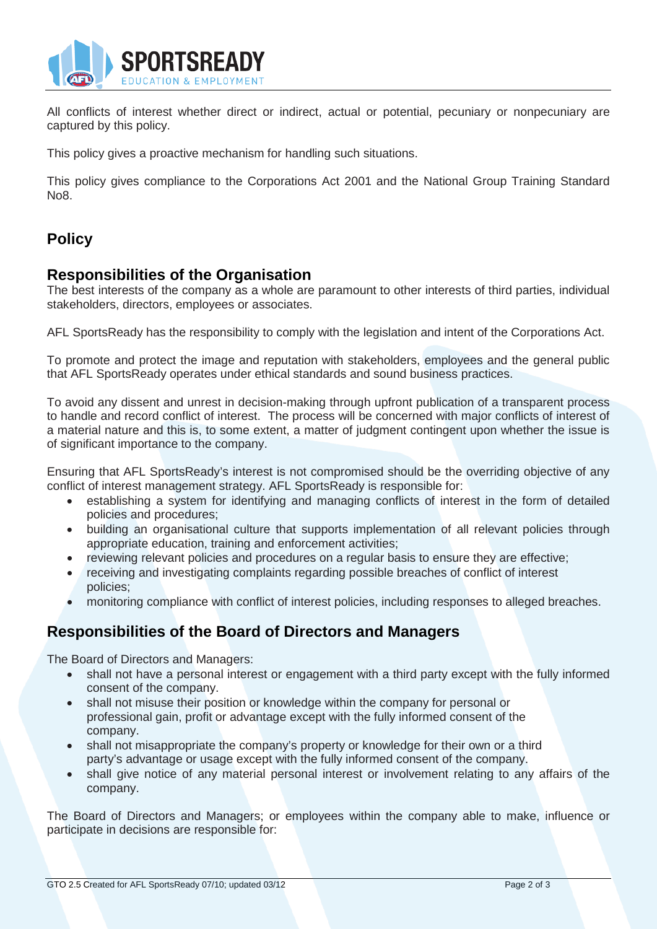

All conflicts of interest whether direct or indirect, actual or potential, pecuniary or nonpecuniary are captured by this policy.

This policy gives a proactive mechanism for handling such situations.

This policy gives compliance to the Corporations Act 2001 and the National Group Training Standard No8.

## **Policy**

#### **Responsibilities of the Organisation**

The best interests of the company as a whole are paramount to other interests of third parties, individual stakeholders, directors, employees or associates.

AFL SportsReady has the responsibility to comply with the legislation and intent of the Corporations Act.

To promote and protect the image and reputation with stakeholders, employees and the general public that AFL SportsReady operates under ethical standards and sound business practices.

To avoid any dissent and unrest in decision-making through upfront publication of a transparent process to handle and record conflict of interest. The process will be concerned with major conflicts of interest of a material nature and this is, to some extent, a matter of judgment contingent upon whether the issue is of significant importance to the company.

Ensuring that AFL SportsReady's interest is not compromised should be the overriding objective of any conflict of interest management strategy. AFL SportsReady is responsible for:

- establishing a system for identifying and managing conflicts of interest in the form of detailed policies and procedures;
- building an organisational culture that supports implementation of all relevant policies through appropriate education, training and enforcement activities;
- reviewing relevant policies and procedures on a regular basis to ensure they are effective;
- receiving and investigating complaints regarding possible breaches of conflict of interest policies;
- monitoring compliance with conflict of interest policies, including responses to alleged breaches.

### **Responsibilities of the Board of Directors and Managers**

The Board of Directors and Managers:

- shall not have a personal interest or engagement with a third party except with the fully informed consent of the company.
- shall not misuse their position or knowledge within the company for personal or professional gain, profit or advantage except with the fully informed consent of the company.
- shall not misappropriate the company's property or knowledge for their own or a third party's advantage or usage except with the fully informed consent of the company.
- shall give notice of any material personal interest or involvement relating to any affairs of the company.

The Board of Directors and Managers; or employees within the company able to make, influence or participate in decisions are responsible for: